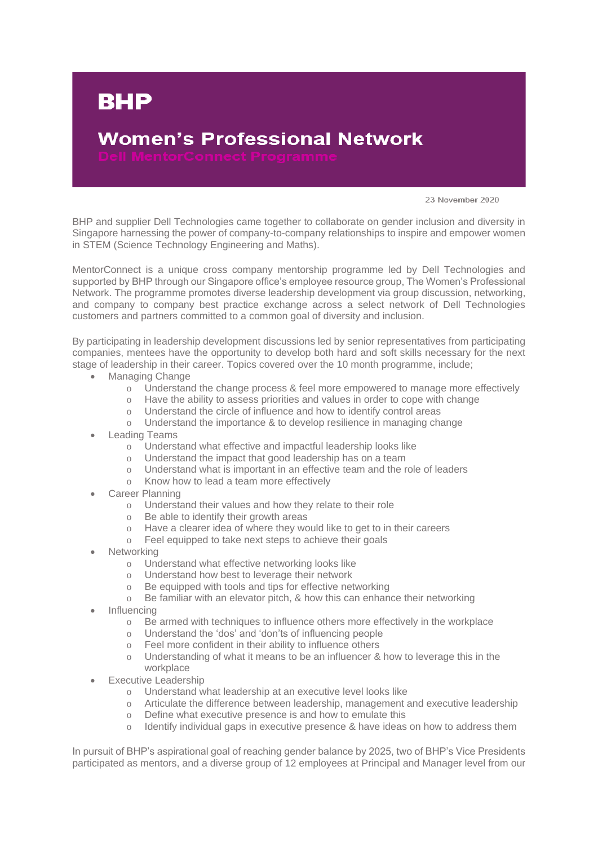## **Women's Professional Network**

23 November 2020

BHP and supplier Dell Technologies came together to collaborate on gender inclusion and diversity in Singapore harnessing the power of company-to-company relationships to inspire and empower women in STEM (Science Technology Engineering and Maths).

MentorConnect is a unique cross company mentorship programme led by Dell Technologies and supported by BHP through our Singapore office's employee resource group, The Women's Professional Network. The programme promotes diverse leadership development via group discussion, networking, and company to company best practice exchange across a select network of Dell Technologies customers and partners committed to a common goal of diversity and inclusion.

By participating in leadership development discussions led by senior representatives from participating companies, mentees have the opportunity to develop both hard and soft skills necessary for the next stage of leadership in their career. Topics covered over the 10 month programme, include;

Managing Change

**BHP** 

- o Understand the change process & feel more empowered to manage more effectively
- o Have the ability to assess priorities and values in order to cope with change
- o Understand the circle of influence and how to identify control areas
- o Understand the importance & to develop resilience in managing change
- Leading Teams
	- o Understand what effective and impactful leadership looks like
	- o Understand the impact that good leadership has on a team
	- o Understand what is important in an effective team and the role of leaders
	- o Know how to lead a team more effectively
- Career Planning
	- o Understand their values and how they relate to their role
	- o Be able to identify their growth areas
	- o Have a clearer idea of where they would like to get to in their careers
	- o Feel equipped to take next steps to achieve their goals
- **Networking** 
	- o Understand what effective networking looks like
	- o Understand how best to leverage their network
	- o Be equipped with tools and tips for effective networking
	- o Be familiar with an elevator pitch, & how this can enhance their networking
- **Influencing** 
	- o Be armed with techniques to influence others more effectively in the workplace
	- o Understand the 'dos' and 'don'ts of influencing people
	- o Feel more confident in their ability to influence others
	- o Understanding of what it means to be an influencer & how to leverage this in the workplace
- Executive Leadership
	- o Understand what leadership at an executive level looks like
	- o Articulate the difference between leadership, management and executive leadership
	- o Define what executive presence is and how to emulate this
	- o Identify individual gaps in executive presence & have ideas on how to address them

In pursuit of BHP's aspirational goal of reaching gender balance by 2025, two of BHP's Vice Presidents participated as mentors, and a diverse group of 12 employees at Principal and Manager level from our